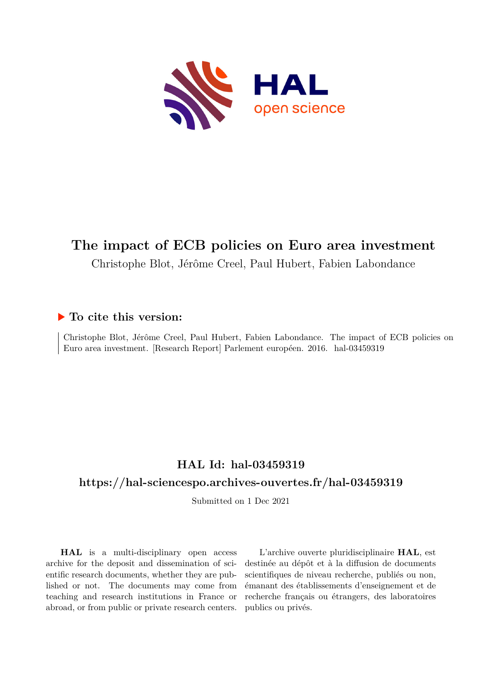

## **The impact of ECB policies on Euro area investment**

Christophe Blot, Jérôme Creel, Paul Hubert, Fabien Labondance

### **To cite this version:**

Christophe Blot, Jérôme Creel, Paul Hubert, Fabien Labondance. The impact of ECB policies on Euro area investment. [Research Report] Parlement européen. 2016. hal-03459319

## **HAL Id: hal-03459319 <https://hal-sciencespo.archives-ouvertes.fr/hal-03459319>**

Submitted on 1 Dec 2021

**HAL** is a multi-disciplinary open access archive for the deposit and dissemination of scientific research documents, whether they are published or not. The documents may come from teaching and research institutions in France or abroad, or from public or private research centers.

L'archive ouverte pluridisciplinaire **HAL**, est destinée au dépôt et à la diffusion de documents scientifiques de niveau recherche, publiés ou non, émanant des établissements d'enseignement et de recherche français ou étrangers, des laboratoires publics ou privés.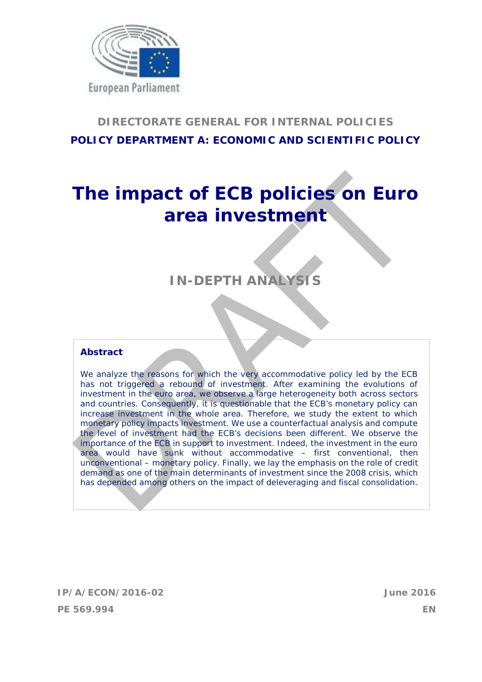

## **DIRECTORATE GENERAL FOR INTERNAL POLICIES POLICY DEPARTMENT A: ECONOMIC AND SCIENTIFIC POLICY**

# **The impact of ECB policies on Euro area investment**

## **IN-DEPTH ANALYS**

#### **Abstract**

We analyze the reasons for which the very accommodative policy led by the ECB has not triggered a rebound of investment. After examining the evolutions of investment in the euro area, we observe a large heterogeneity both across sectors and countries. Consequently, it is questionable that the ECB's monetary policy can increase investment in the whole area. Therefore, we study the extent to which monetary policy impacts investment. We use a counterfactual analysis and compute the level of investment had the ECB's decisions been different. We observe the importance of the ECB in support to investment. Indeed, the investment in the euro area would have sunk without accommodative – first conventional, then unconventional – monetary policy. Finally, we lay the emphasis on the role of credit demand as one of the main determinants of investment since the 2008 crisis, which has depended among others on the impact of deleveraging and fiscal consolidation.

**IP/A/ECON/2016-02 June 2016 PE 569.994 EN**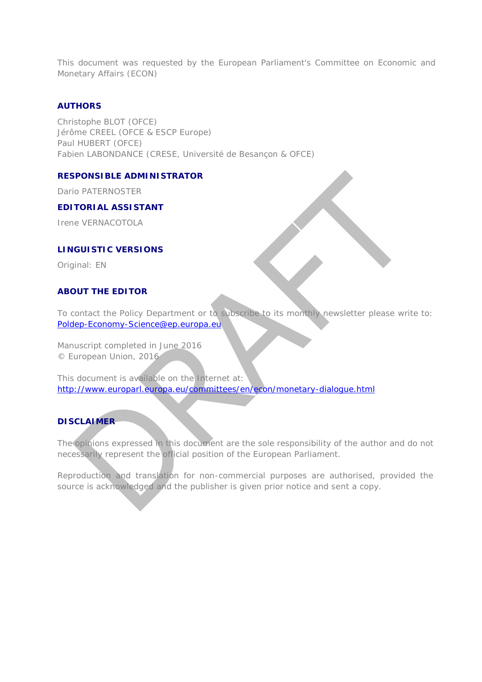This document was requested by the European Parliament's Committee on Economic and Monetary Affairs (ECON)

#### **AUTHORS**

Christophe BLOT (OFCE) Jérôme CREEL (OFCE & ESCP Europe) Paul HUBERT (OFCE) Fabien LABONDANCE (CRESE, Université de Besançon & OFCE)

#### **RESPONSIBLE ADMINISTRATOR**

Dario PATERNOSTER

#### **EDITORIAL ASSISTANT**

Irene VERNACOTOLA

#### **LINGUISTIC VERSIONS**

Original: EN

#### **ABOUT THE EDITOR**

To contact the Policy Department or to subscribe to its monthly newsletter please write to: Poldep-Economy-Science@ep.europa.eu

Manuscript completed in June 2016 © European Union, 2016

This document is available on the Internet at: http://www.europarl.europa.eu/committees/en/econ/monetary-dialogue.html

#### **DISCLAIMER**

The opinions expressed in this document are the sole responsibility of the author and do not necessarily represent the official position of the European Parliament.

Reproduction and translation for non-commercial purposes are authorised, provided the source is acknowledged and the publisher is given prior notice and sent a copy.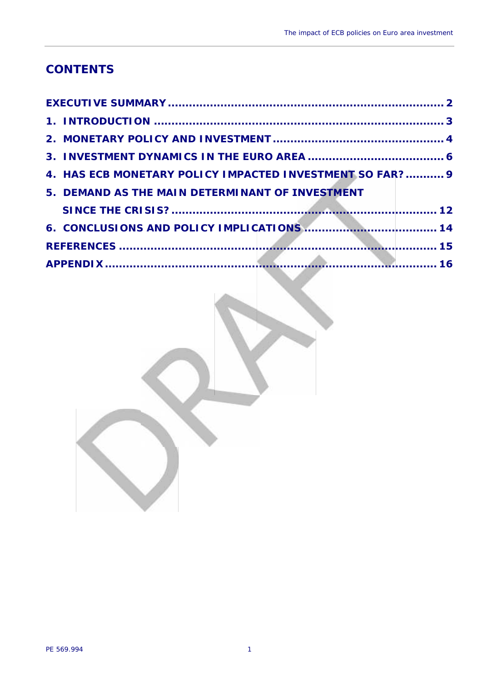## **CONTENTS**

| 4. HAS ECB MONETARY POLICY IMPACTED INVESTMENT SO FAR?  9 |  |
|-----------------------------------------------------------|--|
| 5. DEMAND AS THE MAIN DETERMINANT OF INVESTMENT           |  |
|                                                           |  |
|                                                           |  |
|                                                           |  |
|                                                           |  |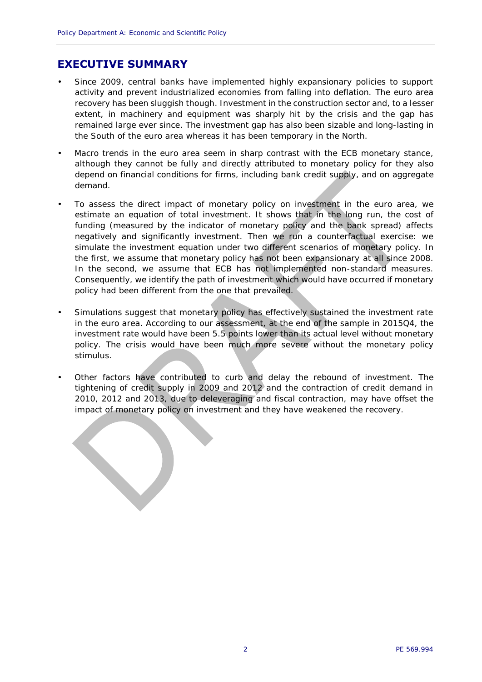### **EXECUTIVE SUMMARY**

- Since 2009, central banks have implemented highly expansionary policies to support activity and prevent industrialized economies from falling into deflation. The euro area recovery has been sluggish though. Investment in the construction sector and, to a lesser extent, in machinery and equipment was sharply hit by the crisis and the gap has remained large ever since. The investment gap has also been sizable and long-lasting in the South of the euro area whereas it has been temporary in the North.
- Macro trends in the euro area seem in sharp contrast with the ECB monetary stance, although they cannot be fully and directly attributed to monetary policy for they also depend on financial conditions for firms, including bank credit supply, and on aggregate demand.
- To assess the direct impact of monetary policy on investment in the euro area, we estimate an equation of total investment. It shows that in the long run, the cost of funding (measured by the indicator of monetary policy and the bank spread) affects negatively and significantly investment. Then we run a counterfactual exercise: we simulate the investment equation under two different scenarios of monetary policy. In the first, we assume that monetary policy has not been expansionary at all since 2008. In the second, we assume that ECB has not implemented non-standard measures. Consequently, we identify the path of investment which would have occurred if monetary policy had been different from the one that prevailed.
- Simulations suggest that monetary policy has effectively sustained the investment rate in the euro area. According to our assessment, at the end of the sample in 2015Q4, the investment rate would have been 5.5 points lower than its actual level without monetary policy. The crisis would have been much more severe without the monetary policy stimulus.
- Other factors have contributed to curb and delay the rebound of investment. The tightening of credit supply in 2009 and 2012 and the contraction of credit demand in 2010, 2012 and 2013, due to deleveraging and fiscal contraction, may have offset the impact of monetary policy on investment and they have weakened the recovery.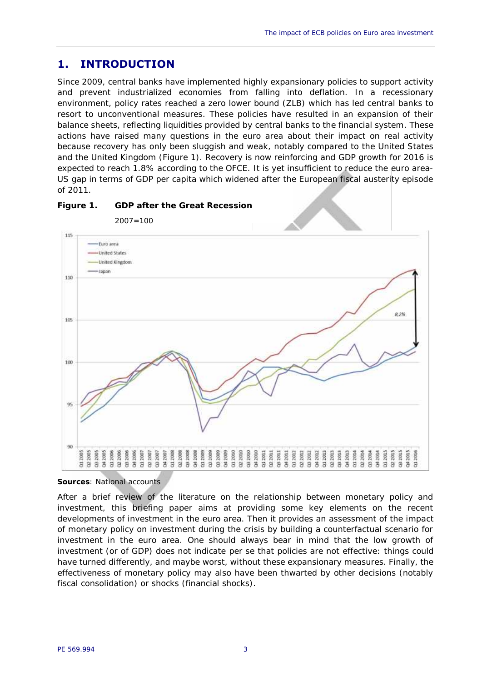## **1. INTRODUCTION**

Since 2009, central banks have implemented highly expansionary policies to support activity and prevent industrialized economies from falling into deflation. In a recessionary environment, policy rates reached a zero lower bound (ZLB) which has led central banks to resort to unconventional measures. These policies have resulted in an expansion of their balance sheets, reflecting liquidities provided by central banks to the financial system. These actions have raised many questions in the euro area about their impact on real activity because recovery has only been sluggish and weak, notably compared to the United States and the United Kingdom (Figure 1). Recovery is now reinforcing and GDP growth for 2016 is expected to reach 1.8% according to the OFCE. It is yet insufficient to reduce the euro area- US gap in terms of GDP per capita which widened after the European fiscal austerity episode of 2011.



**Figure 1. GDP after the Great Recession**



After a brief review of the literature on the relationship between monetary policy and investment, this briefing paper aims at providing some key elements on the recent developments of investment in the euro area. Then it provides an assessment of the impact of monetary policy on investment during the crisis by building a counterfactual scenario for investment in the euro area. One should always bear in mind that the low growth of investment (or of GDP) does not indicate *per se* that policies are not effective: things could have turned differently, and maybe worst, without these expansionary measures. Finally, the effectiveness of monetary policy may also have been thwarted by other decisions (notably fiscal consolidation) or shocks (financial shocks).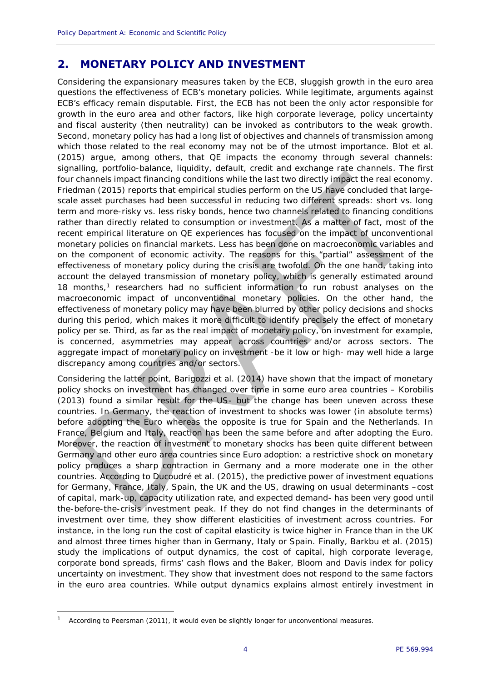## **2. MONETARY POLICY AND INVESTMENT**

Considering the expansionary measures taken by the ECB, sluggish growth in the euro area questions the effectiveness of ECB's monetary policies. While legitimate, arguments against ECB's efficacy remain disputable. First, the ECB has not been the only actor responsible for growth in the euro area and other factors, like high corporate leverage, policy uncertainty and fiscal austerity (then neutrality) can be invoked as contributors to the weak growth. Second, monetary policy has had a long list of objectives and channels of transmission among which those related to the real economy may not be of the utmost importance. Blot et al. (2015) argue, among others, that QE impacts the economy through several channels: signalling, portfolio-balance, liquidity, default, credit and exchange rate channels. The first four channels impact financing conditions while the last two directly impact the real economy. Friedman (2015) reports that empirical studies perform on the US have concluded that large scale asset purchases had been successful in reducing two different spreads: short vs. long term and more-risky vs. less risky bonds, hence two channels related to financing conditions rather than directly related to consumption or investment. As a matter of fact, most of the recent empirical literature on QE experiences has focused on the impact of unconventional monetary policies on financial markets. Less has been done on macroeconomic variables and on the component of economic activity. The reasons for this "partial" assessment of the effectiveness of monetary policy during the crisis are twofold. On the one hand, taking into account the delayed transmission of monetary policy, which is generally estimated around 18 months, $<sup>1</sup>$  researchers had no sufficient information to run robust analyses on the</sup> macroeconomic impact of unconventional monetary policies. On the other hand, the effectiveness of monetary policy may have been blurred by other policy decisions and shocks during this period, which makes it more difficult to identify precisely the effect of monetary policy *per se*. Third, as far as the real impact of monetary policy, on investment for example, is concerned, asymmetries may appear across countries and/or across sectors. The aggregate impact of monetary policy on investment -be it low or high- may well hide a large discrepancy among countries and/or sectors.

Considering the latter point, Barigozzi et al. (2014) have shown that the impact of monetary policy shocks on investment has changed over time in some euro area countries – Korobilis (2013) found a similar result for the US- but the change has been uneven across these countries. In Germany, the reaction of investment to shocks was lower (in absolute terms) before adopting the Euro whereas the opposite is true for Spain and the Netherlands. In France, Belgium and Italy, reaction has been the same before and after adopting the Euro. Moreover, the reaction of investment to monetary shocks has been quite different between Germany and other euro area countries since Euro adoption: a restrictive shock on monetary policy produces a sharp contraction in Germany and a more moderate one in the other countries. According to Ducoudré et al. (2015), the predictive power of investment equations for Germany, France, Italy, Spain, the UK and the US, drawing on usual determinants –cost of capital, mark-up, capacity utilization rate, and expected demand- has been very good until the-before-the-crisis investment peak. If they do not find changes in the determinants of investment over time, they show different elasticities of investment across countries. For instance, in the long run the cost of capital elasticity is twice higher in France than in the UK and almost three times higher than in Germany, Italy or Spain. Finally, Barkbu et al. (2015) study the implications of output dynamics, the cost of capital, high corporate leverage, corporate bond spreads, firms' cash flows and the Baker, Bloom and Davis index for policy uncertainty on investment. They show that investment does not respond to the same factors in the euro area countries. While output dynamics explains almost entirely investment in

<sup>&</sup>lt;sup>1</sup> According to Peersman (2011), it would even be slightly longer for unconventional measures.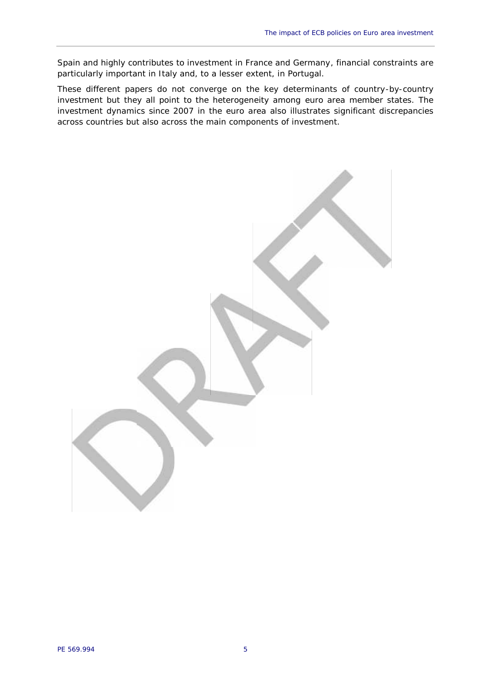Spain and highly contributes to investment in France and Germany, financial constraints are particularly important in Italy and, to a lesser extent, in Portugal.

These different papers do not converge on the key determinants of country-by-country investment but they all point to the heterogeneity among euro area member states. The investment dynamics since 2007 in the euro area also illustrates significant discrepancies across countries but also across the main components of investment.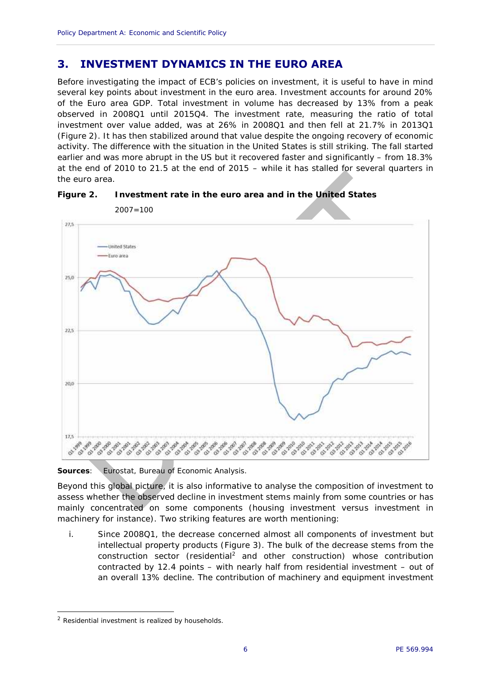## **3. INVESTMENT DYNAMICS IN THE EURO AREA**

Before investigating the impact of ECB's policies on investment, it is useful to have in mind several key points about investment in the euro area. Investment accounts for around 20% of the Euro area GDP. Total investment in volume has decreased by 13% from a peak observed in 2008Q1 until 2015Q4. The investment rate, measuring the ratio of total investment over value added, was at 26% in 2008Q1 and then fell at 21.7% in 2013Q1 (Figure 2). It has then stabilized around that value despite the ongoing recovery of economic activity. The difference with the situation in the United States is still striking. The fall started earlier and was more abrupt in the US but it recovered faster and significantly – from 18.3% at the end of 2010 to 21.5 at the end of 2015 – while it has stalled for several quarters in the euro area.





*Sources: Eurostat, Bureau of Economic Analysis.*

Beyond this global picture, it is also informative to analyse the composition of investment to assess whether the observed decline in investment stems mainly from some countries or has mainly concentrated on some components (housing investment versus investment in machinery for instance). Two striking features are worth mentioning:

i. Since 2008Q1, the decrease concerned almost all components of investment but intellectual property products (Figure 3). The bulk of the decrease stems from the construction sector (residential<sup>2</sup> and other construction) whose contribution contracted by 12.4 points – with nearly half from residential investment – out of an overall 13% decline. The contribution of machinery and equipment investment

<sup>2</sup> Residential investment is realized by households.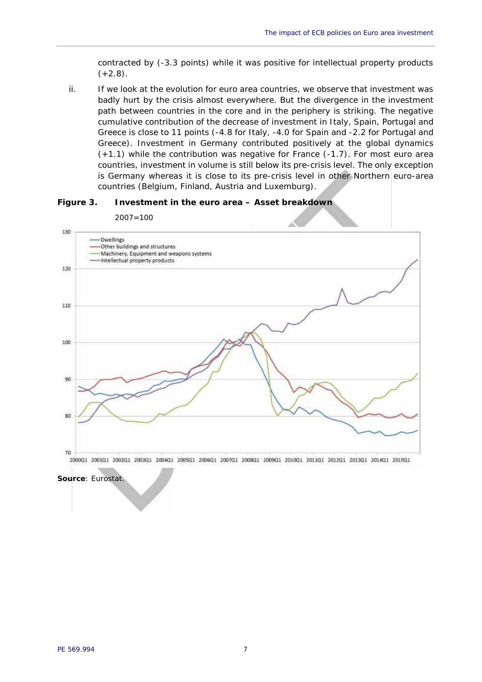contracted by (-3.3 points) while it was positive for intellectual property products  $(+2.8).$ 

ii. If we look at the evolution for euro area countries, we observe that investment was badly hurt by the crisis almost everywhere. But the divergence in the investment path between countries in the core and in the periphery is striking. The negative cumulative contribution of the decrease of investment in Italy, Spain, Portugal and Greece is close to 11 points (-4.8 for Italy, -4.0 for Spain and -2.2 for Portugal and Greece). Investment in Germany contributed positively at the global dynamics (+1.1) while the contribution was negative for France (-1.7). For most euro area countries, investment in volume is still below its pre-crisis level. The only exception is Germany whereas it is close to its pre-crisis level in other Northern euro-area countries (Belgium, Finland, Austria and Luxemburg).





2007=100

*Source: Eurostat.*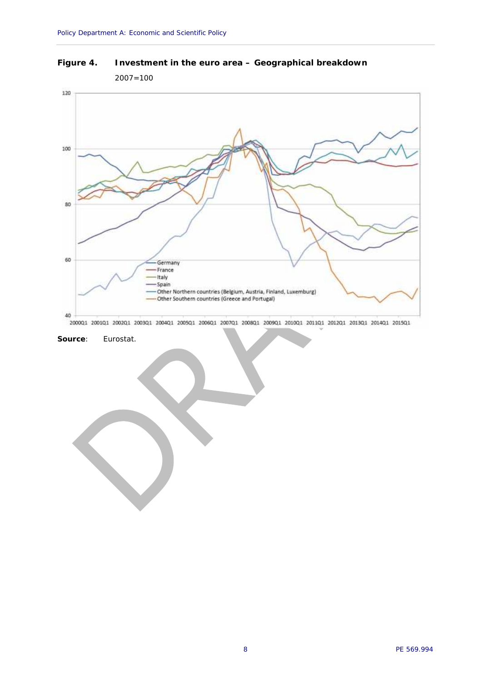**Figure 4. Investment in the euro area – Geographical breakdown**



200001 200101 200201 200301 200401 200501 200601 200701 200801 200901 201001 201101 201201 201301 201401 201501

*Source: Eurostat.*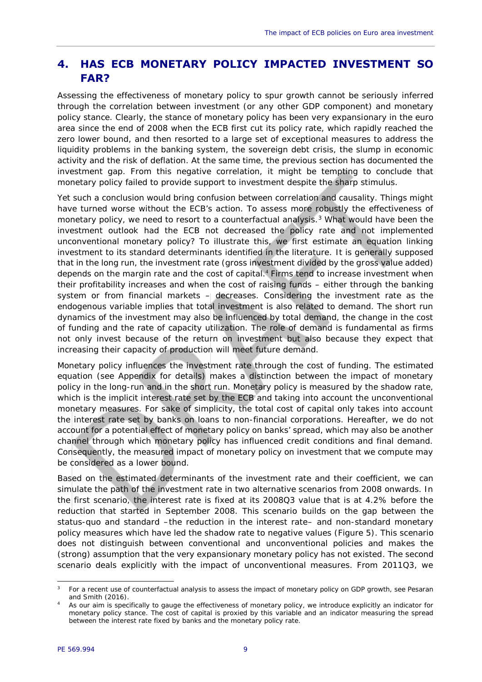## **4. HAS ECB MONETARY POLICY IMPACTED INVESTMENT SO FAR?**

Assessing the effectiveness of monetary policy to spur growth cannot be seriously inferred through the correlation between investment (or any other GDP component) and monetary policy stance. Clearly, the stance of monetary policy has been very expansionary in the euro area since the end of 2008 when the ECB first cut its policy rate, which rapidly reached the zero lower bound, and then resorted to a large set of exceptional measures to address the liquidity problems in the banking system, the sovereign debt crisis, the slump in economic activity and the risk of deflation. At the same time, the previous section has documented the investment gap. From this negative correlation, it might be tempting to conclude that monetary policy failed to provide support to investment despite the sharp stimulus.

Yet such a conclusion would bring confusion between correlation and causality. Things might have turned worse without the ECB's action. To assess more robustly the effectiveness of monetary policy, we need to resort to a counterfactual analysis.<sup>3</sup> What would have been the investment outlook had the ECB not decreased the policy rate and not implemented unconventional monetary policy? To illustrate this, we first estimate an equation linking investment to its standard determinants identified in the literature. It is generally supposed that in the long run, the investment rate (gross investment divided by the gross value added) depends on the margin rate and the cost of capital.<sup>4</sup> Firms tend to increase investment when their profitability increases and when the cost of raising funds – either through the banking system or from financial markets – decreases. Considering the investment rate as the endogenous variable implies that total investment is also related to demand. The short run dynamics of the investment may also be influenced by total demand, the change in the cost of funding and the rate of capacity utilization. The role of demand is fundamental as firms not only invest because of the return on investment but also because they expect that increasing their capacity of production will meet future demand.

Monetary policy influences the investment rate through the cost of funding. The estimated equation (see Appendix for details) makes a distinction between the impact of monetary policy in the long-run and in the short run. Monetary policy is measured by the shadow rate, which is the implicit interest rate set by the ECB and taking into account the unconventional monetary measures. For sake of simplicity, the total cost of capital only takes into account the interest rate set by banks on loans to non-financial corporations. Hereafter, we do not account for a potential effect of monetary policy on banks' spread, which may also be another channel through which monetary policy has influenced credit conditions and final demand. Consequently, the measured impact of monetary policy on investment that we compute may be considered as a lower bound.

Based on the estimated determinants of the investment rate and their coefficient, we can simulate the path of the investment rate in two alternative scenarios from 2008 onwards. In the first scenario, the interest rate is fixed at its 2008Q3 value that is at 4.2% before the reduction that started in September 2008. This scenario builds on the gap between the status-quo and standard –the reduction in the interest rate– and non-standard monetary policy measures which have led the shadow rate to negative values (Figure 5). This scenario does not distinguish between conventional and unconventional policies and makes the (strong) assumption that the very expansionary monetary policy has not existed. The second scenario deals explicitly with the impact of unconventional measures. From 2011Q3, we

<sup>&</sup>lt;sup>3</sup> For a recent use of counterfactual analysis to assess the impact of monetary policy on GDP growth, see Pesaran and Smith (2016).

<sup>4</sup> As our aim is specifically to gauge the effectiveness of monetary policy, we introduce explicitly an indicator for monetary policy stance. The cost of capital is proxied by this variable and an indicator measuring the spread between the interest rate fixed by banks and the monetary policy rate.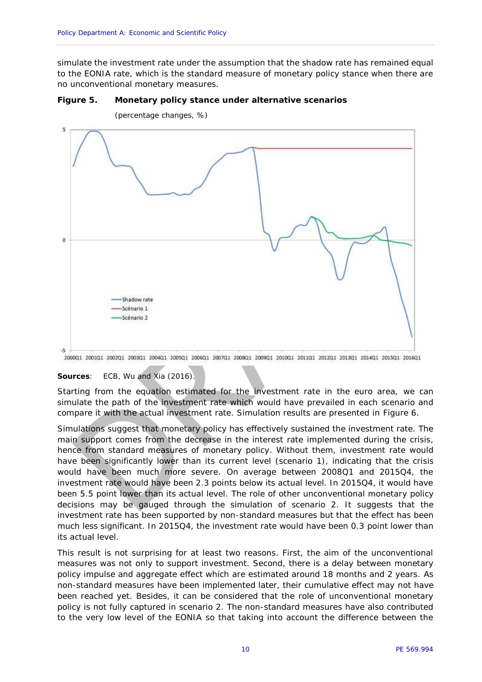simulate the investment rate under the assumption that the shadow rate has remained equal to the EONIA rate, which is the standard measure of monetary policy stance when there are no unconventional monetary measures.

**Figure 5. Monetary policy stance under alternative scenarios**



(percentage changes, %)

*Sources: ECB, Wu and Xia (2016).*

Starting from the equation estimated for the investment rate in the euro area, we can simulate the path of the investment rate which would have prevailed in each scenario and compare it with the actual investment rate. Simulation results are presented in Figure 6.

Simulations suggest that monetary policy has effectively sustained the investment rate. The main support comes from the decrease in the interest rate implemented during the crisis, hence from standard measures of monetary policy. Without them, investment rate would have been significantly lower than its current level (scenario 1), indicating that the crisis would have been much more severe. On average between 2008Q1 and 2015Q4, the investment rate would have been 2.3 points below its actual level. In 2015Q4, it would have been 5.5 point lower than its actual level. The role of other unconventional monetary policy decisions may be gauged through the simulation of scenario 2. It suggests that the investment rate has been supported by non-standard measures but that the effect has been much less significant. In 2015Q4, the investment rate would have been 0.3 point lower than its actual level.

This result is not surprising for at least two reasons. First, the aim of the unconventional measures was not only to support investment. Second, there is a delay between monetary policy impulse and aggregate effect which are estimated around 18 months and 2 years. As non-standard measures have been implemented later, their cumulative effect may not have been reached yet. Besides, it can be considered that the role of unconventional monetary policy is not fully captured in scenario 2. The non-standard measures have also contributed to the very low level of the EONIA so that taking into account the difference between the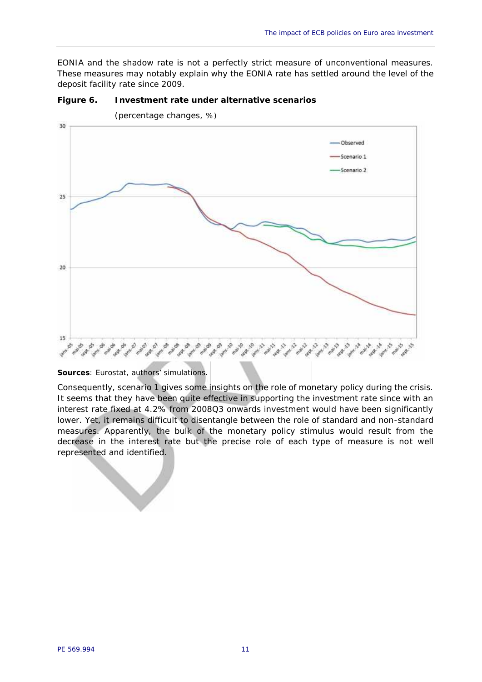EONIA and the shadow rate is not a perfectly strict measure of unconventional measures. These measures may notably explain why the EONIA rate has settled around the level of the deposit facility rate since 2009.



**Figure 6. Investment rate under alternative scenarios**

*Sources: Eurostat, authors' simulations.*

Consequently, scenario 1 gives some insights on the role of monetary policy during the crisis. It seems that they have been quite effective in supporting the investment rate since with an interest rate fixed at 4.2% from 2008Q3 onwards investment would have been significantly lower. Yet, it remains difficult to disentangle between the role of standard and non-standard measures. Apparently, the bulk of the monetary policy stimulus would result from the decrease in the interest rate but the precise role of each type of measure is not well represented and identified.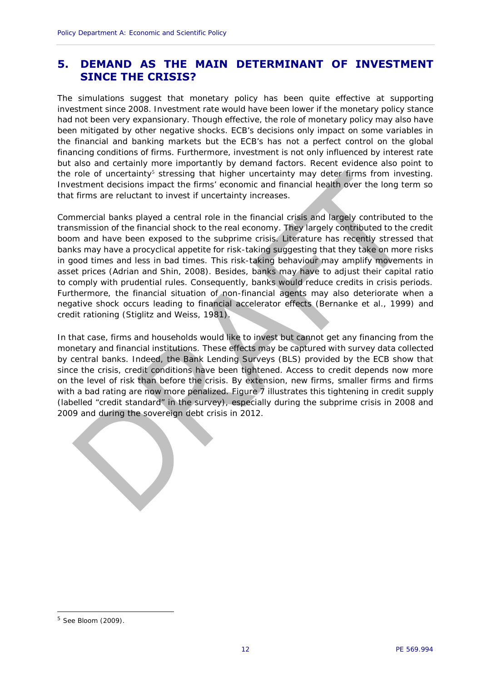## **5. DEMAND AS THE MAIN DETERMINANT OF INVESTMENT SINCE THE CRISIS?**

The simulations suggest that monetary policy has been quite effective at supporting investment since 2008. Investment rate would have been lower if the monetary policy stance had not been very expansionary. Though effective, the role of monetary policy may also have been mitigated by other negative shocks. ECB's decisions only impact on some variables in the financial and banking markets but the ECB's has not a perfect control on the global financing conditions of firms. Furthermore, investment is not only influenced by interest rate but also and certainly more importantly by demand factors. Recent evidence also point to the role of uncertainty<sup>5</sup> stressing that higher uncertainty may deter firms from investing. Investment decisions impact the firms' economic and financial health over the long term so that firms are reluctant to invest if uncertainty increases.

Commercial banks played a central role in the financial crisis and largely contributed to the transmission of the financial shock to the real economy. They largely contributed to the credit boom and have been exposed to the subprime crisis. Literature has recently stressed that banks may have a procyclical appetite for risk-taking suggesting that they take on more risks in good times and less in bad times. This risk-taking behaviour may amplify movements in asset prices (Adrian and Shin, 2008). Besides, banks may have to adjust their capital ratio to comply with prudential rules. Consequently, banks would reduce credits in crisis periods. Furthermore, the financial situation of non-financial agents may also deteriorate when a negative shock occurs leading to financial accelerator effects (Bernanke et al., 1999) and credit rationing (Stiglitz and Weiss, 1981).

In that case, firms and households would like to invest but cannot get any financing from the monetary and financial institutions. These effects may be captured with survey data collected by central banks. Indeed, the Bank Lending Surveys (BLS) provided by the ECB show that since the crisis, credit conditions have been tightened. Access to credit depends now more on the level of risk than before the crisis. By extension, new firms, smaller firms and firms with a bad rating are now more penalized. Figure 7 illustrates this tightening in credit supply (labelled "credit standard" in the survey), especially during the subprime crisis in 2008 and 2009 and during the sovereign debt crisis in 2012.

<sup>5</sup> See Bloom (2009).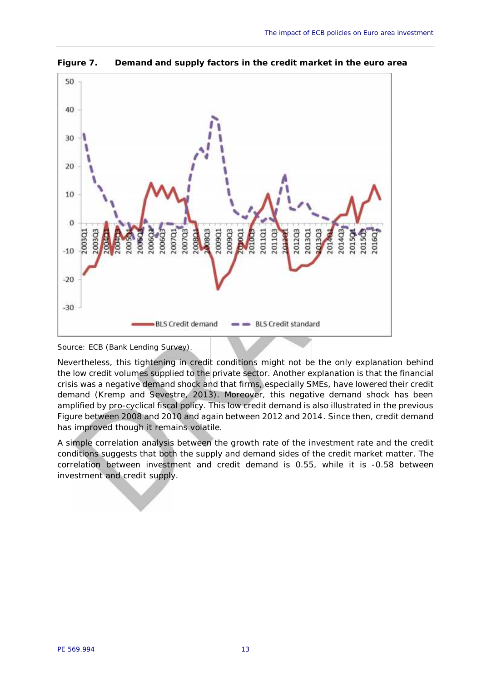

**Figure 7. Demand and supply factors in the credit market in the euro area**

*Source: ECB (Bank Lending Survey).*

Nevertheless, this tightening in credit conditions might not be the only explanation behind the low credit volumes supplied to the private sector. Another explanation is that the financial crisis was a negative demand shock and that firms, especially SMEs, have lowered their credit demand (Kremp and Sevestre, 2013). Moreover, this negative demand shock has been amplified by pro-cyclical fiscal policy. This low credit demand is also illustrated in the previous Figure between 2008 and 2010 and again between 2012 and 2014. Since then, credit demand has improved though it remains volatile.

A simple correlation analysis between the growth rate of the investment rate and the credit conditions suggests that both the supply and demand sides of the credit market matter. The correlation between investment and credit demand is 0.55, while it is -0.58 between investment and credit supply.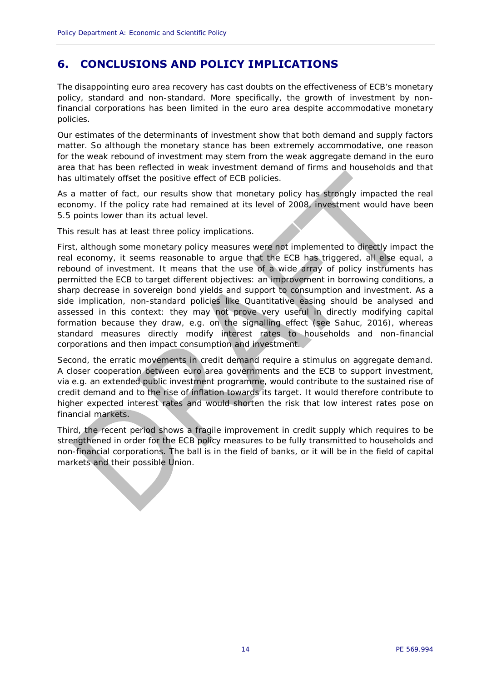## **6. CONCLUSIONS AND POLICY IMPLICATIONS**

The disappointing euro area recovery has cast doubts on the effectiveness of ECB's monetary policy, standard and non-standard. More specifically, the growth of investment by nonfinancial corporations has been limited in the euro area despite accommodative monetary policies.

Our estimates of the determinants of investment show that both demand and supply factors matter. So although the monetary stance has been extremely accommodative, one reason for the weak rebound of investment may stem from the weak aggregate demand in the euro area that has been reflected in weak investment demand of firms and households and that has ultimately offset the positive effect of ECB policies.

As a matter of fact, our results show that monetary policy has strongly impacted the real economy. If the policy rate had remained at its level of 2008, investment would have been 5.5 points lower than its actual level.

This result has at least three policy implications.

First, although some monetary policy measures were not implemented to directly impact the real economy, it seems reasonable to argue that the ECB has triggered, all else equal, a rebound of investment. It means that the use of a wide array of policy instruments has permitted the ECB to target different objectives: an improvement in borrowing conditions, a sharp decrease in sovereign bond yields and support to consumption and investment. As a side implication, non-standard policies like Quantitative easing should be analysed and assessed in this context: they may not prove very useful in directly modifying capital formation because they draw, e.g. on the signalling effect (see Sahuc, 2016), whereas standard measures directly modify interest rates to households and non-financial corporations and then impact consumption and investment.

Second, the erratic movements in credit demand require a stimulus on aggregate demand. A closer cooperation between euro area governments and the ECB to support investment, via e.g. an extended public investment programme, would contribute to the sustained rise of credit demand and to the rise of inflation towards its target. It would therefore contribute to higher expected interest rates and would shorten the risk that low interest rates pose on financial markets.

Third, the recent period shows a fragile improvement in credit supply which requires to be strengthened in order for the ECB policy measures to be fully transmitted to households and non-financial corporations. The ball is in the field of banks, or it will be in the field of capital markets and their possible Union.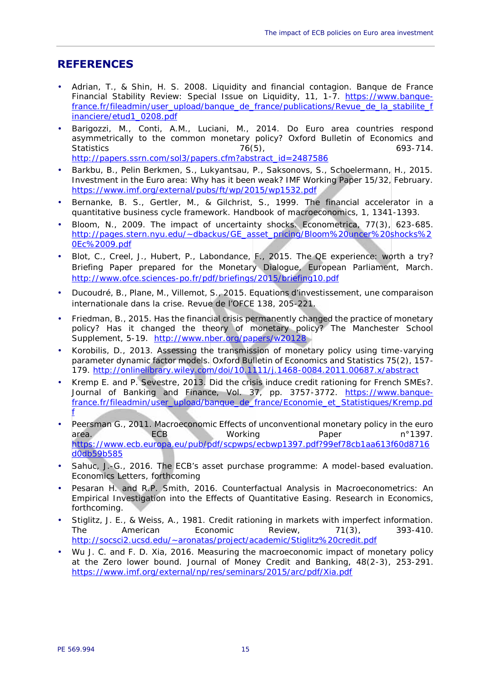### **REFERENCES**

- Adrian, T., & Shin, H. S. 2008. Liquidity and financial contagion. Banque de France Financial Stability Review: Special Issue on Liquidity, 11, 1-7. https://www.banquefrance.fr/fileadmin/user\_upload/banque\_de\_france/publications/Revue\_de\_la\_stabilite\_f inanciere/etud1\_0208.pdf
- Barigozzi, M., Conti, A.M., Luciani, M., 2014. Do Euro area countries respond asymmetrically to the common monetary policy? Oxford Bulletin of Economics and Statistics 76(5), 693-714. http://papers.ssrn.com/sol3/papers.cfm?abstract\_id=2487586
- Barkbu, B., Pelin Berkmen, S., Lukyantsau, P., Saksonovs, S., Schoelermann, H., 2015. Investment in the Euro area: Why has it been weak? IMF Working Paper 15/32, February. https://www.imf.org/external/pubs/ft/wp/2015/wp1532.pdf
- Bernanke, B. S., Gertler, M., & Gilchrist, S., 1999. The financial accelerator in a quantitative business cycle framework. Handbook of macroeconomics, 1, 1341-1393.
- Bloom, N., 2009. The impact of uncertainty shocks. Econometrica, 77(3), 623-685. http://pages.stern.nyu.edu/~dbackus/GE\_asset\_pricing/Bloom%20uncer%20shocks%2 0Ec%2009.pdf
- Blot, C., Creel, J., Hubert, P., Labondance, F., 2015. The QE experience: worth a try? Briefing Paper prepared for the Monetary Dialogue, European Parliament, March. http://www.ofce.sciences-po.fr/pdf/briefings/2015/briefing10.pdf
- Ducoudré, B., Plane, M., Villemot, S., 2015. Equations d'investissement, une comparaison internationale dans la crise. Revue de l'OFCE 138, 205-221.
- Friedman, B., 2015. Has the financial crisis permanently changed the practice of monetary policy? Has it changed the theory of monetary policy? The Manchester School Supplement, 5-19. http://www.nber.org/papers/w20128
- Korobilis, D., 2013. Assessing the transmission of monetary policy using time-varying parameter dynamic factor models. Oxford Bulletin of Economics and Statistics 75(2), 157- 179. http://onlinelibrary.wiley.com/doi/10.1111/j.1468-0084.2011.00687.x/abstract
- Kremp E. and P. Sevestre, 2013. Did the crisis induce credit rationing for French SMEs?. Journal of Banking and Finance, Vol. 37, pp. 3757-3772. https://www.banquefrance.fr/fileadmin/user\_upload/banque\_de\_france/Economie\_et\_Statistiques/Kremp.pd f
- Peersman G., 2011. Macroeconomic Effects of unconventional monetary policy in the euro area. ECB Working Paper n°1397. https://www.ecb.europa.eu/pub/pdf/scpwps/ecbwp1397.pdf?99ef78cb1aa613f60d8716 d0db59b585
- Sahuc, J.-G., 2016. The ECB's asset purchase programme: A model-based evaluation. Economics Letters, forthcoming
- Pesaran H. and R.P. Smith, 2016. Counterfactual Analysis in Macroeconometrics: An Empirical Investigation into the Effects of Quantitative Easing. Research in Economics, forthcoming.
- Stiglitz, J. E., & Weiss, A., 1981. Credit rationing in markets with imperfect information. The American Economic Review, 71(3), 393-410. http://socsci2.ucsd.edu/~aronatas/project/academic/Stiglitz%20credit.pdf
- Wu J. C. and F. D. Xia, 2016. Measuring the macroeconomic impact of monetary policy at the Zero lower bound. Journal of Money Credit and Banking, 48(2-3), 253-291. https://www.imf.org/external/np/res/seminars/2015/arc/pdf/Xia.pdf